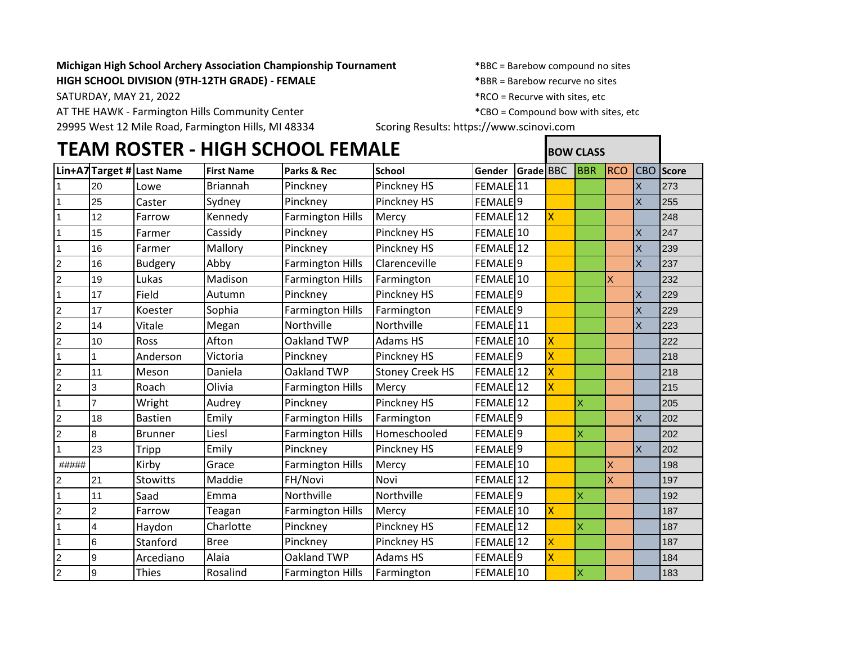## **Michigan High School Archery Association Championship Tournament** \*BBC = Barebow compound no sites **HIGH SCHOOL DIVISION (9TH-12TH GRADE) - FEMALE** \*BBR = Barebow recurve no sites

SATURDAY, MAY 21, 2022 **Example 20** 2022 **All 2012 12:30 ASSEMBLEM**  $*$ RCO = Recurve with sites, etc

AT THE HAWK - Farmington Hills Community Center \* \*CBO = Compound bow with sites, etc

29995 West 12 Mile Road, Farmington Hills, MI 48334 Scoring Results: https://www.scinovi.com

|                | <b>TEAM ROSTER - HIGH SCHOOL FEMALE</b> |                           |                   |                         |                        |                      | <b>BOW CLASS</b> |                         |                         |            |                |              |
|----------------|-----------------------------------------|---------------------------|-------------------|-------------------------|------------------------|----------------------|------------------|-------------------------|-------------------------|------------|----------------|--------------|
|                |                                         | Lin+A7 Target # Last Name | <b>First Name</b> | Parks & Rec             | <b>School</b>          | Gender               | Grade BBC        |                         | BBR                     | <b>RCO</b> | <b>CBO</b>     | <b>Score</b> |
|                | 20                                      | Lowe                      | <b>Briannah</b>   | Pinckney                | Pinckney HS            | FEMALE <sup>11</sup> |                  |                         |                         |            | X              | 273          |
| $\mathbf{1}$   | 25                                      | Caster                    | Sydney            | Pinckney                | Pinckney HS            | FEMALE <sup>9</sup>  |                  |                         |                         |            | X              | 255          |
| $\mathbf{1}$   | 12                                      | Farrow                    | Kennedy           | <b>Farmington Hills</b> | Mercy                  | FEMALE 12            |                  | $\overline{\mathsf{X}}$ |                         |            |                | 248          |
| $\mathbf{1}$   | 15                                      | Farmer                    | Cassidy           | Pinckney                | Pinckney HS            | FEMALE <sup>10</sup> |                  |                         |                         |            | X              | 247          |
| $\mathbf{1}$   | 16                                      | Farmer                    | Mallory           | Pinckney                | Pinckney HS            | FEMALE <sub>12</sub> |                  |                         |                         |            | X              | 239          |
| $\overline{c}$ | 16                                      | <b>Budgery</b>            | Abby              | <b>Farmington Hills</b> | Clarenceville          | FEMALE <sup>19</sup> |                  |                         |                         |            | X              | 237          |
| $\overline{a}$ | 19                                      | Lukas                     | Madison           | <b>Farmington Hills</b> | Farmington             | FEMALE 10            |                  |                         |                         | X.         |                | 232          |
| $\mathbf{1}$   | 17                                      | Field                     | Autumn            | Pinckney                | Pinckney HS            | FEMALE <sup>19</sup> |                  |                         |                         |            | X              | 229          |
| $\overline{2}$ | 17                                      | Koester                   | Sophia            | <b>Farmington Hills</b> | Farmington             | FEMALE <sup>19</sup> |                  |                         |                         |            | $\overline{X}$ | 229          |
| $\overline{2}$ | 14                                      | Vitale                    | Megan             | Northville              | Northville             | FEMALE <sup>11</sup> |                  |                         |                         |            | X              | 223          |
| $\overline{a}$ | 10                                      | Ross                      | Afton             | Oakland TWP             | <b>Adams HS</b>        | FEMALE 10            |                  | X                       |                         |            |                | 222          |
| $\mathbf{1}$   |                                         | Anderson                  | Victoria          | Pinckney                | Pinckney HS            | FEMALE <sup>9</sup>  |                  | X                       |                         |            |                | 218          |
| $\overline{c}$ | 11                                      | Meson                     | Daniela           | Oakland TWP             | <b>Stoney Creek HS</b> | FEMALE 12            |                  | X                       |                         |            |                | 218          |
| $\overline{a}$ | 3                                       | Roach                     | Olivia            | <b>Farmington Hills</b> | Mercy                  | FEMALE 12            |                  | X                       |                         |            |                | 215          |
| $\mathbf{1}$   | $\overline{7}$                          | Wright                    | Audrey            | Pinckney                | Pinckney HS            | FEMALE 12            |                  |                         | $\overline{\mathsf{x}}$ |            |                | 205          |
| $\overline{2}$ | 18                                      | <b>Bastien</b>            | Emily             | <b>Farmington Hills</b> | Farmington             | FEMALE <sup>19</sup> |                  |                         |                         |            | X              | 202          |
| $\overline{a}$ | 8                                       | <b>Brunner</b>            | Liesl             | <b>Farmington Hills</b> | Homeschooled           | FEMALE <sup>9</sup>  |                  |                         | $\overline{\mathsf{x}}$ |            |                | 202          |
| $\mathbf{1}$   | 23                                      | Tripp                     | Emily             | Pinckney                | Pinckney HS            | FEMALE <sup>9</sup>  |                  |                         |                         |            | X              | 202          |
| #####          |                                         | Kirby                     | Grace             | <b>Farmington Hills</b> | Mercy                  | FEMALE 10            |                  |                         |                         | X          |                | 198          |
| $\overline{a}$ | 21                                      | <b>Stowitts</b>           | Maddie            | FH/Novi                 | Novi                   | FEMALE 12            |                  |                         |                         | X          |                | 197          |
| $\mathbf{1}$   | 11                                      | Saad                      | Emma              | Northville              | Northville             | FEMALE <sup>19</sup> |                  |                         | $\overline{\mathsf{x}}$ |            |                | 192          |
| $\overline{c}$ | 2                                       | Farrow                    | Teagan            | <b>Farmington Hills</b> | Mercy                  | FEMALE 10            |                  | X                       |                         |            |                | 187          |
| $\mathbf{1}$   | $\overline{\mathbf{4}}$                 | Haydon                    | Charlotte         | Pinckney                | Pinckney HS            | FEMALE <sup>12</sup> |                  |                         | Ιx                      |            |                | 187          |
| $\mathbf{1}$   | $\,6$                                   | Stanford                  | <b>Bree</b>       | Pinckney                | Pinckney HS            | FEMALE <sub>12</sub> |                  | X                       |                         |            |                | 187          |
| $\overline{a}$ | 9                                       | Arcediano                 | Alaia             | Oakland TWP             | <b>Adams HS</b>        | FEMALE <sup>19</sup> |                  | X                       |                         |            |                | 184          |
| $\overline{c}$ | $\overline{9}$                          | <b>Thies</b>              | Rosalind          | <b>Farmington Hills</b> | Farmington             | FEMALE 10            |                  |                         | Ιx                      |            |                | 183          |